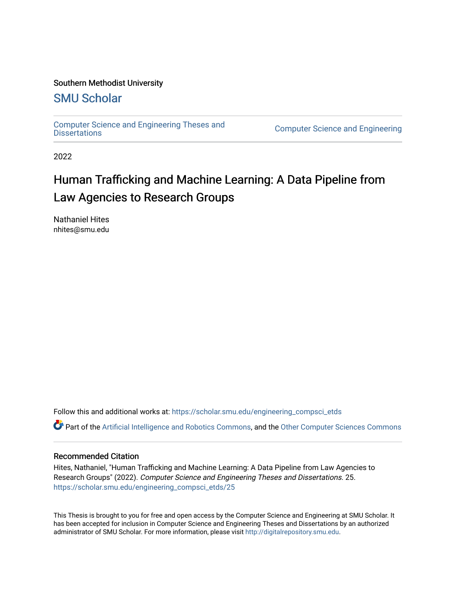#### Southern Methodist University

# [SMU Scholar](https://scholar.smu.edu/)

[Computer Science and Engineering Theses and](https://scholar.smu.edu/engineering_compsci_etds)

**Computer Science and Engineering** 

2022

# Human Trafficking and Machine Learning: A Data Pipeline from Law Agencies to Research Groups

Nathaniel Hites nhites@smu.edu

Follow this and additional works at: [https://scholar.smu.edu/engineering\\_compsci\\_etds](https://scholar.smu.edu/engineering_compsci_etds?utm_source=scholar.smu.edu%2Fengineering_compsci_etds%2F25&utm_medium=PDF&utm_campaign=PDFCoverPages)

Part of the [Artificial Intelligence and Robotics Commons](https://network.bepress.com/hgg/discipline/143?utm_source=scholar.smu.edu%2Fengineering_compsci_etds%2F25&utm_medium=PDF&utm_campaign=PDFCoverPages), and the [Other Computer Sciences Commons](https://network.bepress.com/hgg/discipline/152?utm_source=scholar.smu.edu%2Fengineering_compsci_etds%2F25&utm_medium=PDF&utm_campaign=PDFCoverPages)

#### Recommended Citation

Hites, Nathaniel, "Human Trafficking and Machine Learning: A Data Pipeline from Law Agencies to Research Groups" (2022). Computer Science and Engineering Theses and Dissertations. 25. [https://scholar.smu.edu/engineering\\_compsci\\_etds/25](https://scholar.smu.edu/engineering_compsci_etds/25?utm_source=scholar.smu.edu%2Fengineering_compsci_etds%2F25&utm_medium=PDF&utm_campaign=PDFCoverPages) 

This Thesis is brought to you for free and open access by the Computer Science and Engineering at SMU Scholar. It has been accepted for inclusion in Computer Science and Engineering Theses and Dissertations by an authorized administrator of SMU Scholar. For more information, please visit [http://digitalrepository.smu.edu](http://digitalrepository.smu.edu/).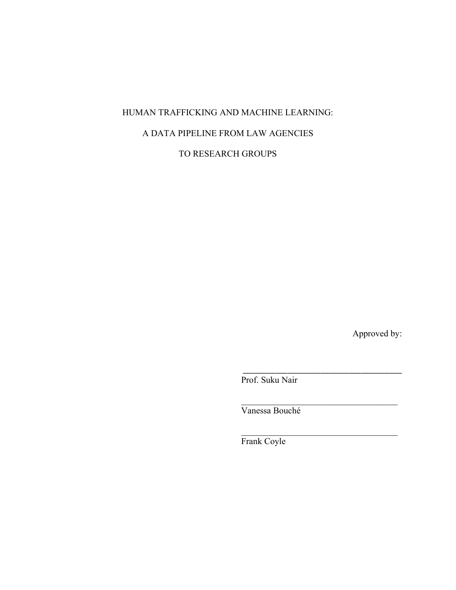# HUMAN TRAFFICKING AND MACHINE LEARNING:

# A DATA PIPELINE FROM LAW AGENCIES

TO RESEARCH GROUPS

Approved by:

Prof. Suku Nair

\_\_\_\_\_\_\_\_\_\_\_\_\_\_\_\_\_\_\_\_\_\_\_\_\_\_\_\_\_\_\_\_\_\_\_\_\_\_\_

Vanessa Bouché

Frank Coyle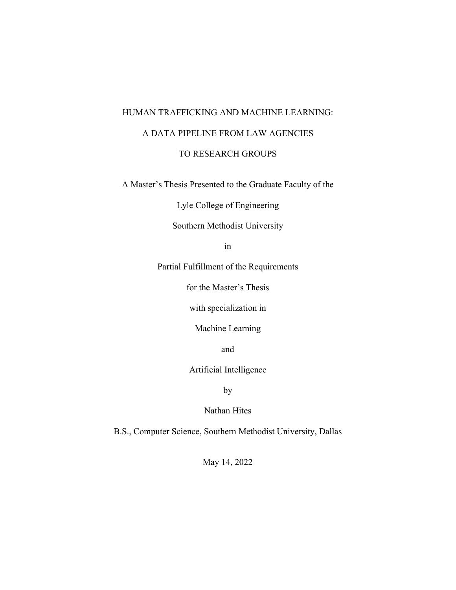# HUMAN TRAFFICKING AND MACHINE LEARNING: A DATA PIPELINE FROM LAW AGENCIES TO RESEARCH GROUPS

A Master's Thesis Presented to the Graduate Faculty of the

Lyle College of Engineering

Southern Methodist University

in

Partial Fulfillment of the Requirements

for the Master's Thesis

with specialization in

Machine Learning

and

Artificial Intelligence

by

Nathan Hites

B.S., Computer Science, Southern Methodist University, Dallas

May 14, 2022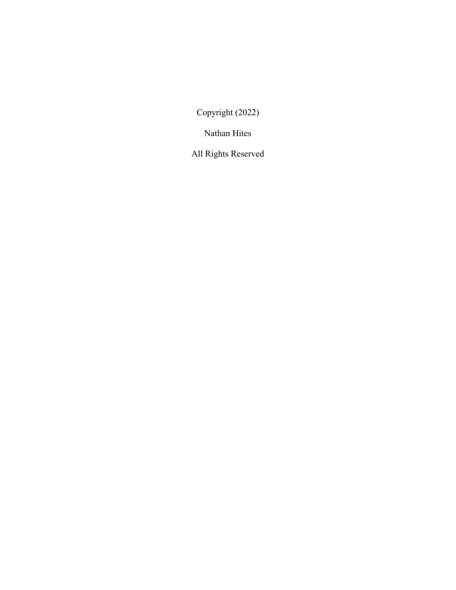Copyright (2022)

Nathan Hites

All Rights Reserved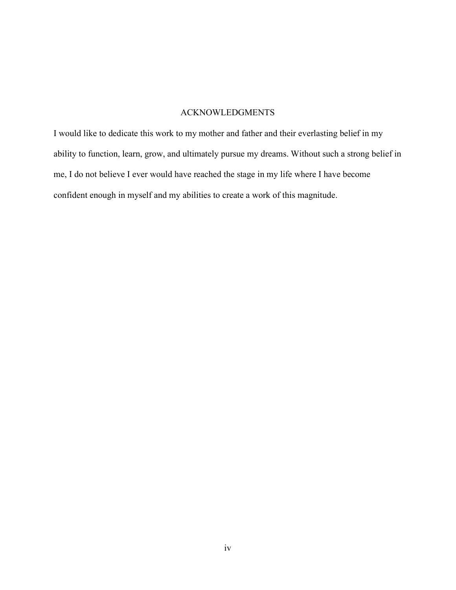#### ACKNOWLEDGMENTS

I would like to dedicate this work to my mother and father and their everlasting belief in my ability to function, learn, grow, and ultimately pursue my dreams. Without such a strong belief in me, I do not believe I ever would have reached the stage in my life where I have become confident enough in myself and my abilities to create a work of this magnitude.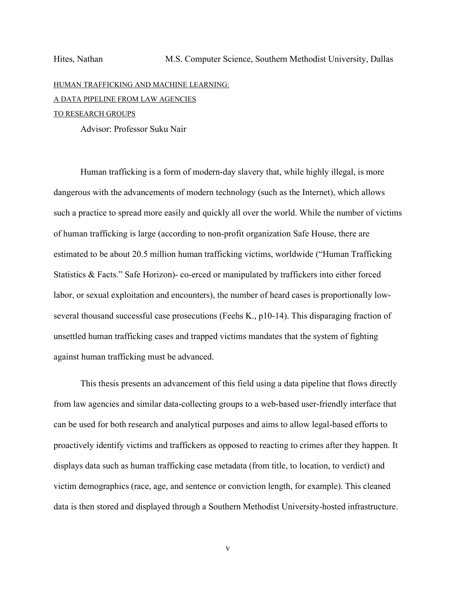# HUMAN TRAFFICKING AND MACHINE LEARNING: A DATA PIPELINE FROM LAW AGENCIES

## TO RESEARCH GROUPS

Advisor: Professor Suku Nair

 Human trafficking is a form of modern-day slavery that, while highly illegal, is more dangerous with the advancements of modern technology (such as the Internet), which allows such a practice to spread more easily and quickly all over the world. While the number of victims of human trafficking is large (according to non-profit organization Safe House, there are estimated to be about 20.5 million human trafficking victims, worldwide ("Human Trafficking Statistics & Facts." Safe Horizon)- co-erced or manipulated by traffickers into either forced labor, or sexual exploitation and encounters), the number of heard cases is proportionally lowseveral thousand successful case prosecutions (Feehs K., p10-14). This disparaging fraction of unsettled human trafficking cases and trapped victims mandates that the system of fighting against human trafficking must be advanced.

This thesis presents an advancement of this field using a data pipeline that flows directly from law agencies and similar data-collecting groups to a web-based user-friendly interface that can be used for both research and analytical purposes and aims to allow legal-based efforts to proactively identify victims and traffickers as opposed to reacting to crimes after they happen. It displays data such as human trafficking case metadata (from title, to location, to verdict) and victim demographics (race, age, and sentence or conviction length, for example). This cleaned data is then stored and displayed through a Southern Methodist University-hosted infrastructure.

v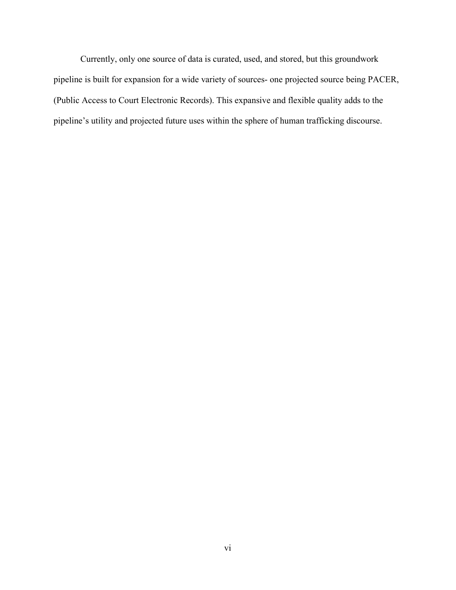Currently, only one source of data is curated, used, and stored, but this groundwork pipeline is built for expansion for a wide variety of sources- one projected source being PACER, (Public Access to Court Electronic Records). This expansive and flexible quality adds to the pipeline's utility and projected future uses within the sphere of human trafficking discourse.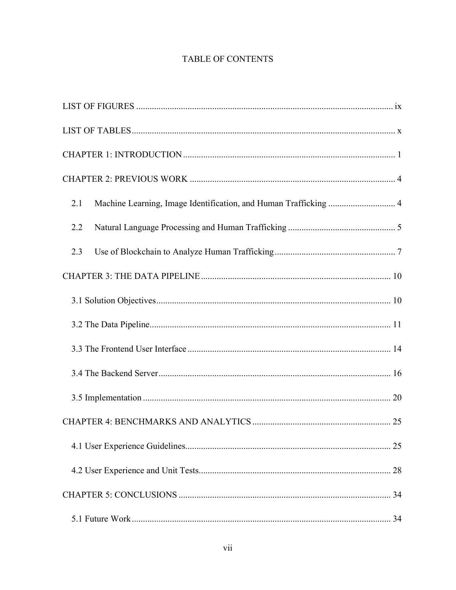# TABLE OF CONTENTS

| Machine Learning, Image Identification, and Human Trafficking  4<br>2.1 |
|-------------------------------------------------------------------------|
| 2.2                                                                     |
| 2.3                                                                     |
|                                                                         |
|                                                                         |
|                                                                         |
|                                                                         |
|                                                                         |
|                                                                         |
|                                                                         |
|                                                                         |
|                                                                         |
|                                                                         |
|                                                                         |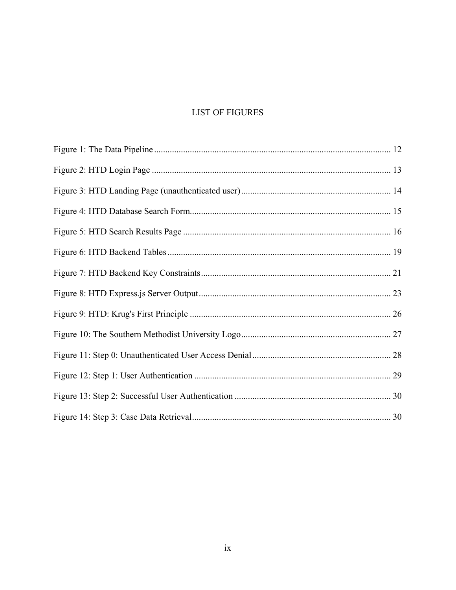# **LIST OF FIGURES**

<span id="page-9-0"></span>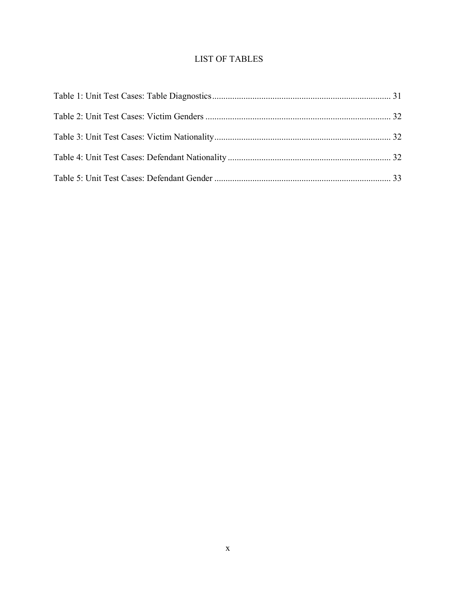# <span id="page-10-0"></span>LIST OF TABLES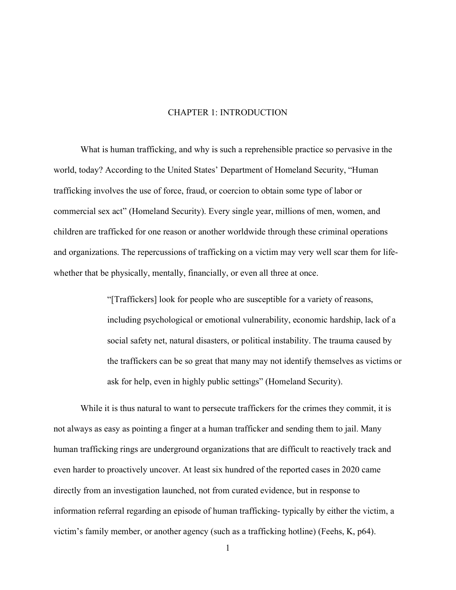#### CHAPTER 1: INTRODUCTION

<span id="page-11-0"></span>What is human trafficking, and why is such a reprehensible practice so pervasive in the world, today? According to the United States' Department of Homeland Security, "Human trafficking involves the use of force, fraud, or coercion to obtain some type of labor or commercial sex act" (Homeland Security). Every single year, millions of men, women, and children are trafficked for one reason or another worldwide through these criminal operations and organizations. The repercussions of trafficking on a victim may very well scar them for lifewhether that be physically, mentally, financially, or even all three at once.

> "[Traffickers] look for people who are susceptible for a variety of reasons, including psychological or emotional vulnerability, economic hardship, lack of a social safety net, natural disasters, or political instability. The trauma caused by the traffickers can be so great that many may not identify themselves as victims or ask for help, even in highly public settings" (Homeland Security).

While it is thus natural to want to persecute traffickers for the crimes they commit, it is not always as easy as pointing a finger at a human trafficker and sending them to jail. Many human trafficking rings are underground organizations that are difficult to reactively track and even harder to proactively uncover. At least six hundred of the reported cases in 2020 came directly from an investigation launched, not from curated evidence, but in response to information referral regarding an episode of human trafficking- typically by either the victim, a victim's family member, or another agency (such as a trafficking hotline) (Feehs, K, p64).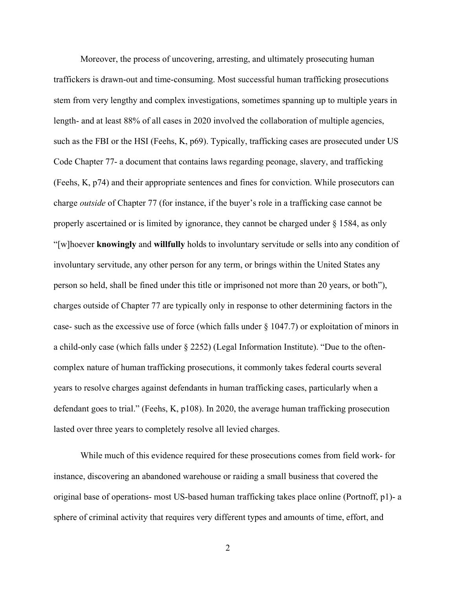Moreover, the process of uncovering, arresting, and ultimately prosecuting human traffickers is drawn-out and time-consuming. Most successful human trafficking prosecutions stem from very lengthy and complex investigations, sometimes spanning up to multiple years in length- and at least 88% of all cases in 2020 involved the collaboration of multiple agencies, such as the FBI or the HSI (Feehs, K, p69). Typically, trafficking cases are prosecuted under US Code Chapter 77- a document that contains laws regarding peonage, slavery, and trafficking (Feehs, K, p74) and their appropriate sentences and fines for conviction. While prosecutors can charge *outside* of Chapter 77 (for instance, if the buyer's role in a trafficking case cannot be properly ascertained or is limited by ignorance, they cannot be charged under § 1584, as only "[w]hoever **knowingly** and **willfully** holds to involuntary servitude or sells into any condition of involuntary servitude, any other person for any term, or brings within the United States any person so held, shall be fined under this title or imprisoned not more than 20 years, or both"), charges outside of Chapter 77 are typically only in response to other determining factors in the case- such as the excessive use of force (which falls under § 1047.7) or exploitation of minors in a child-only case (which falls under § 2252) (Legal Information Institute). "Due to the oftencomplex nature of human trafficking prosecutions, it commonly takes federal courts several years to resolve charges against defendants in human trafficking cases, particularly when a defendant goes to trial." (Feehs, K, p108). In 2020, the average human trafficking prosecution lasted over three years to completely resolve all levied charges.

While much of this evidence required for these prosecutions comes from field work- for instance, discovering an abandoned warehouse or raiding a small business that covered the original base of operations- most US-based human trafficking takes place online (Portnoff, p1)- a sphere of criminal activity that requires very different types and amounts of time, effort, and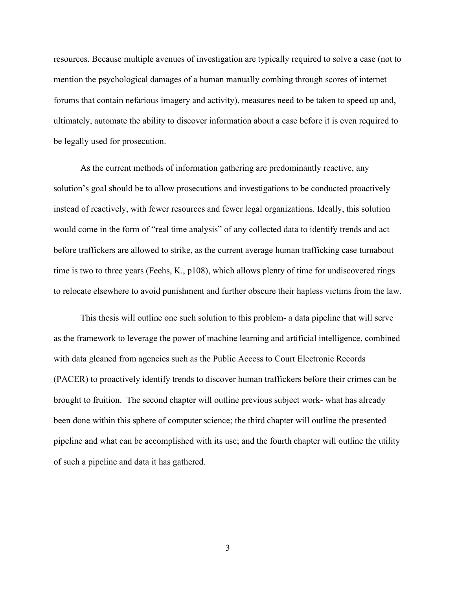resources. Because multiple avenues of investigation are typically required to solve a case (not to mention the psychological damages of a human manually combing through scores of internet forums that contain nefarious imagery and activity), measures need to be taken to speed up and, ultimately, automate the ability to discover information about a case before it is even required to be legally used for prosecution.

As the current methods of information gathering are predominantly reactive, any solution's goal should be to allow prosecutions and investigations to be conducted proactively instead of reactively, with fewer resources and fewer legal organizations. Ideally, this solution would come in the form of "real time analysis" of any collected data to identify trends and act before traffickers are allowed to strike, as the current average human trafficking case turnabout time is two to three years (Feehs, K., p108), which allows plenty of time for undiscovered rings to relocate elsewhere to avoid punishment and further obscure their hapless victims from the law.

This thesis will outline one such solution to this problem- a data pipeline that will serve as the framework to leverage the power of machine learning and artificial intelligence, combined with data gleaned from agencies such as the Public Access to Court Electronic Records (PACER) to proactively identify trends to discover human traffickers before their crimes can be brought to fruition. The second chapter will outline previous subject work- what has already been done within this sphere of computer science; the third chapter will outline the presented pipeline and what can be accomplished with its use; and the fourth chapter will outline the utility of such a pipeline and data it has gathered.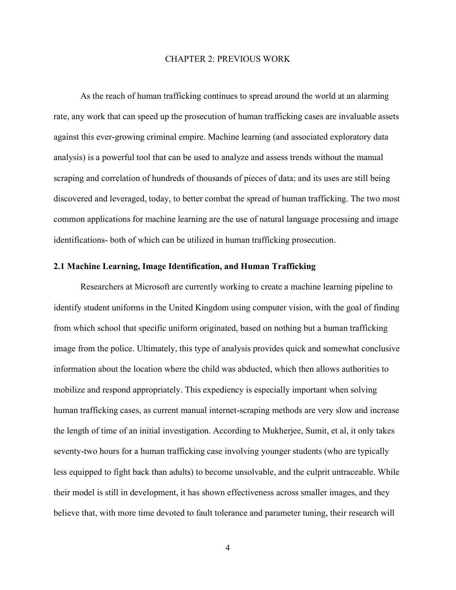#### CHAPTER 2: PREVIOUS WORK

<span id="page-14-0"></span>As the reach of human trafficking continues to spread around the world at an alarming rate, any work that can speed up the prosecution of human trafficking cases are invaluable assets against this ever-growing criminal empire. Machine learning (and associated exploratory data analysis) is a powerful tool that can be used to analyze and assess trends without the manual scraping and correlation of hundreds of thousands of pieces of data; and its uses are still being discovered and leveraged, today, to better combat the spread of human trafficking. The two most common applications for machine learning are the use of natural language processing and image identifications- both of which can be utilized in human trafficking prosecution.

#### <span id="page-14-1"></span>**2.1 Machine Learning, Image Identification, and Human Trafficking**

Researchers at Microsoft are currently working to create a machine learning pipeline to identify student uniforms in the United Kingdom using computer vision, with the goal of finding from which school that specific uniform originated, based on nothing but a human trafficking image from the police. Ultimately, this type of analysis provides quick and somewhat conclusive information about the location where the child was abducted, which then allows authorities to mobilize and respond appropriately. This expediency is especially important when solving human trafficking cases, as current manual internet-scraping methods are very slow and increase the length of time of an initial investigation. According to Mukherjee, Sumit, et al, it only takes seventy-two hours for a human trafficking case involving younger students (who are typically less equipped to fight back than adults) to become unsolvable, and the culprit untraceable. While their model is still in development, it has shown effectiveness across smaller images, and they believe that, with more time devoted to fault tolerance and parameter tuning, their research will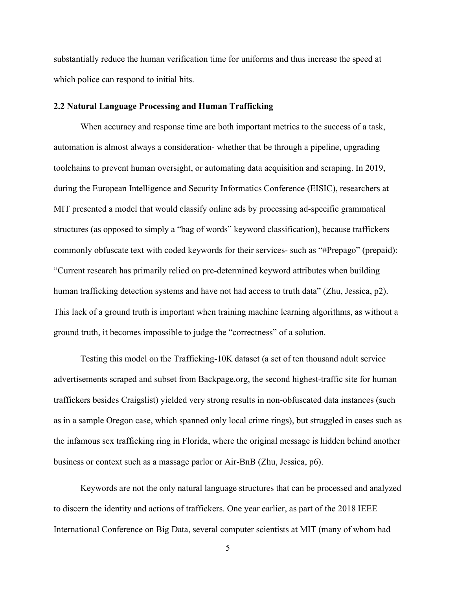substantially reduce the human verification time for uniforms and thus increase the speed at which police can respond to initial hits.

#### <span id="page-15-0"></span>**2.2 Natural Language Processing and Human Trafficking**

When accuracy and response time are both important metrics to the success of a task, automation is almost always a consideration- whether that be through a pipeline, upgrading toolchains to prevent human oversight, or automating data acquisition and scraping. In 2019, during the European Intelligence and Security Informatics Conference (EISIC), researchers at MIT presented a model that would classify online ads by processing ad-specific grammatical structures (as opposed to simply a "bag of words" keyword classification), because traffickers commonly obfuscate text with coded keywords for their services- such as "#Prepago" (prepaid): "Current research has primarily relied on pre-determined keyword attributes when building human trafficking detection systems and have not had access to truth data" (Zhu, Jessica, p2). This lack of a ground truth is important when training machine learning algorithms, as without a ground truth, it becomes impossible to judge the "correctness" of a solution.

Testing this model on the Trafficking-10K dataset (a set of ten thousand adult service advertisements scraped and subset from Backpage.org, the second highest-traffic site for human traffickers besides Craigslist) yielded very strong results in non-obfuscated data instances (such as in a sample Oregon case, which spanned only local crime rings), but struggled in cases such as the infamous sex trafficking ring in Florida, where the original message is hidden behind another business or context such as a massage parlor or Air-BnB (Zhu, Jessica, p6).

Keywords are not the only natural language structures that can be processed and analyzed to discern the identity and actions of traffickers. One year earlier, as part of the 2018 IEEE International Conference on Big Data, several computer scientists at MIT (many of whom had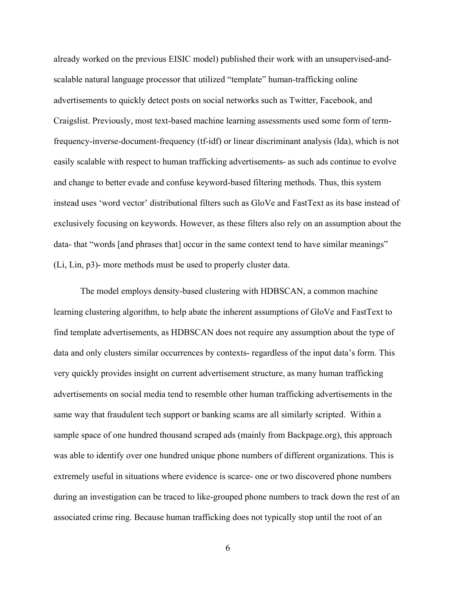already worked on the previous EISIC model) published their work with an unsupervised-andscalable natural language processor that utilized "template" human-trafficking online advertisements to quickly detect posts on social networks such as Twitter, Facebook, and Craigslist. Previously, most text-based machine learning assessments used some form of termfrequency-inverse-document-frequency (tf-idf) or linear discriminant analysis (lda), which is not easily scalable with respect to human trafficking advertisements- as such ads continue to evolve and change to better evade and confuse keyword-based filtering methods. Thus, this system instead uses 'word vector' distributional filters such as GloVe and FastText as its base instead of exclusively focusing on keywords. However, as these filters also rely on an assumption about the data- that "words [and phrases that] occur in the same context tend to have similar meanings" (Li, Lin, p3)- more methods must be used to properly cluster data.

The model employs density-based clustering with HDBSCAN, a common machine learning clustering algorithm, to help abate the inherent assumptions of GloVe and FastText to find template advertisements, as HDBSCAN does not require any assumption about the type of data and only clusters similar occurrences by contexts- regardless of the input data's form. This very quickly provides insight on current advertisement structure, as many human trafficking advertisements on social media tend to resemble other human trafficking advertisements in the same way that fraudulent tech support or banking scams are all similarly scripted. Within a sample space of one hundred thousand scraped ads (mainly from Backpage.org), this approach was able to identify over one hundred unique phone numbers of different organizations. This is extremely useful in situations where evidence is scarce- one or two discovered phone numbers during an investigation can be traced to like-grouped phone numbers to track down the rest of an associated crime ring. Because human trafficking does not typically stop until the root of an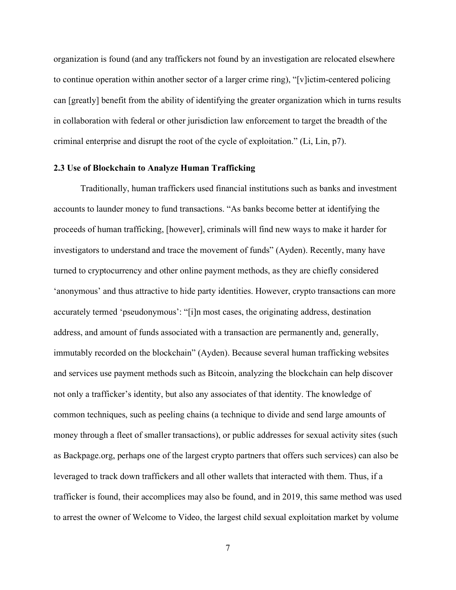organization is found (and any traffickers not found by an investigation are relocated elsewhere to continue operation within another sector of a larger crime ring), "[v]ictim-centered policing can [greatly] benefit from the ability of identifying the greater organization which in turns results in collaboration with federal or other jurisdiction law enforcement to target the breadth of the criminal enterprise and disrupt the root of the cycle of exploitation." (Li, Lin, p7).

#### <span id="page-17-0"></span>**2.3 Use of Blockchain to Analyze Human Trafficking**

Traditionally, human traffickers used financial institutions such as banks and investment accounts to launder money to fund transactions. "As banks become better at identifying the proceeds of human trafficking, [however], criminals will find new ways to make it harder for investigators to understand and trace the movement of funds" (Ayden). Recently, many have turned to cryptocurrency and other online payment methods, as they are chiefly considered 'anonymous' and thus attractive to hide party identities. However, crypto transactions can more accurately termed 'pseudonymous': "[i]n most cases, the originating address, destination address, and amount of funds associated with a transaction are permanently and, generally, immutably recorded on the blockchain" (Ayden). Because several human trafficking websites and services use payment methods such as Bitcoin, analyzing the blockchain can help discover not only a trafficker's identity, but also any associates of that identity. The knowledge of common techniques, such as peeling chains (a technique to divide and send large amounts of money through a fleet of smaller transactions), or public addresses for sexual activity sites (such as Backpage.org, perhaps one of the largest crypto partners that offers such services) can also be leveraged to track down traffickers and all other wallets that interacted with them. Thus, if a trafficker is found, their accomplices may also be found, and in 2019, this same method was used to arrest the owner of Welcome to Video, the largest child sexual exploitation market by volume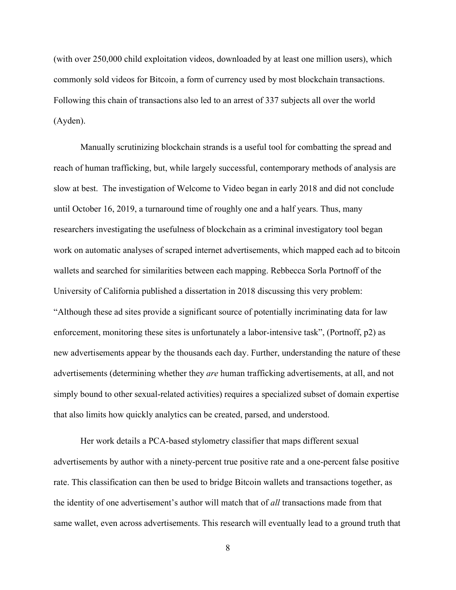(with over 250,000 child exploitation videos, downloaded by at least one million users), which commonly sold videos for Bitcoin, a form of currency used by most blockchain transactions. Following this chain of transactions also led to an arrest of 337 subjects all over the world (Ayden).

Manually scrutinizing blockchain strands is a useful tool for combatting the spread and reach of human trafficking, but, while largely successful, contemporary methods of analysis are slow at best. The investigation of Welcome to Video began in early 2018 and did not conclude until October 16, 2019, a turnaround time of roughly one and a half years. Thus, many researchers investigating the usefulness of blockchain as a criminal investigatory tool began work on automatic analyses of scraped internet advertisements, which mapped each ad to bitcoin wallets and searched for similarities between each mapping. Rebbecca Sorla Portnoff of the University of California published a dissertation in 2018 discussing this very problem: "Although these ad sites provide a significant source of potentially incriminating data for law enforcement, monitoring these sites is unfortunately a labor-intensive task", (Portnoff, p2) as new advertisements appear by the thousands each day. Further, understanding the nature of these advertisements (determining whether they *are* human trafficking advertisements, at all, and not simply bound to other sexual-related activities) requires a specialized subset of domain expertise that also limits how quickly analytics can be created, parsed, and understood.

Her work details a PCA-based stylometry classifier that maps different sexual advertisements by author with a ninety-percent true positive rate and a one-percent false positive rate. This classification can then be used to bridge Bitcoin wallets and transactions together, as the identity of one advertisement's author will match that of *all* transactions made from that same wallet, even across advertisements. This research will eventually lead to a ground truth that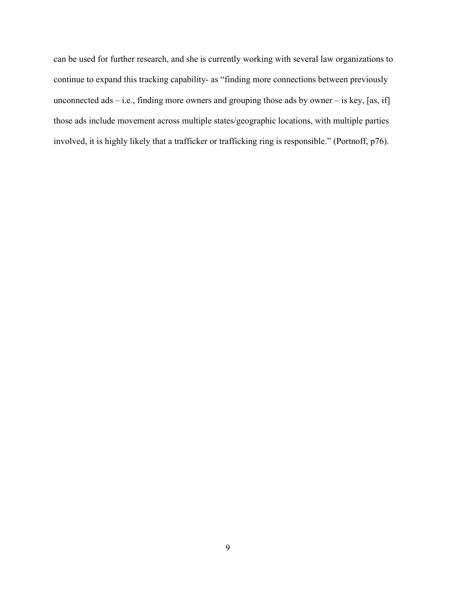can be used for further research, and she is currently working with several law organizations to continue to expand this tracking capability- as "finding more connections between previously unconnected ads – i.e., finding more owners and grouping those ads by owner – is key, [as, if] those ads include movement across multiple states/geographic locations, with multiple parties involved, it is highly likely that a trafficker or trafficking ring is responsible." (Portnoff, p76).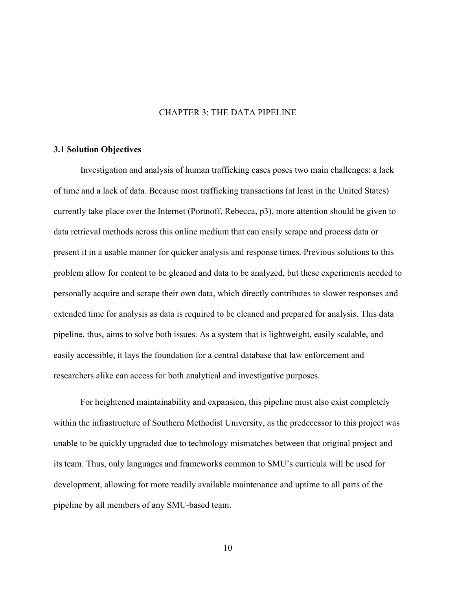#### CHAPTER 3: THE DATA PIPELINE

#### <span id="page-20-1"></span><span id="page-20-0"></span>**3.1 Solution Objectives**

Investigation and analysis of human trafficking cases poses two main challenges: a lack of time and a lack of data. Because most trafficking transactions (at least in the United States) currently take place over the Internet (Portnoff, Rebecca, p3), more attention should be given to data retrieval methods across this online medium that can easily scrape and process data or present it in a usable manner for quicker analysis and response times. Previous solutions to this problem allow for content to be gleaned and data to be analyzed, but these experiments needed to personally acquire and scrape their own data, which directly contributes to slower responses and extended time for analysis as data is required to be cleaned and prepared for analysis. This data pipeline, thus, aims to solve both issues. As a system that is lightweight, easily scalable, and easily accessible, it lays the foundation for a central database that law enforcement and researchers alike can access for both analytical and investigative purposes.

For heightened maintainability and expansion, this pipeline must also exist completely within the infrastructure of Southern Methodist University, as the predecessor to this project was unable to be quickly upgraded due to technology mismatches between that original project and its team. Thus, only languages and frameworks common to SMU's curricula will be used for development, allowing for more readily available maintenance and uptime to all parts of the pipeline by all members of any SMU-based team.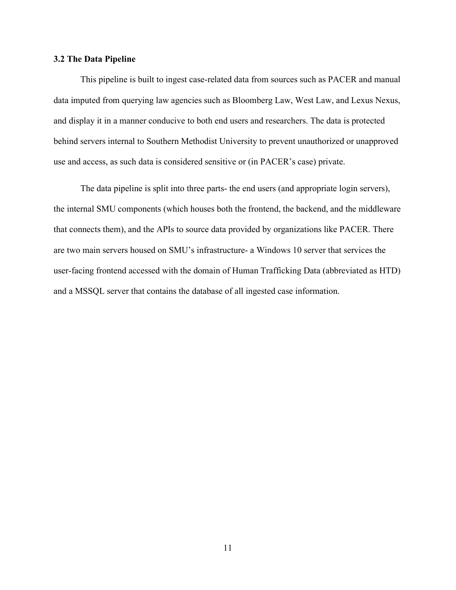#### <span id="page-21-0"></span>**3.2 The Data Pipeline**

This pipeline is built to ingest case-related data from sources such as PACER and manual data imputed from querying law agencies such as Bloomberg Law, West Law, and Lexus Nexus, and display it in a manner conducive to both end users and researchers. The data is protected behind servers internal to Southern Methodist University to prevent unauthorized or unapproved use and access, as such data is considered sensitive or (in PACER's case) private.

The data pipeline is split into three parts- the end users (and appropriate login servers), the internal SMU components (which houses both the frontend, the backend, and the middleware that connects them), and the APIs to source data provided by organizations like PACER. There are two main servers housed on SMU's infrastructure- a Windows 10 server that services the user-facing frontend accessed with the domain of Human Trafficking Data (abbreviated as HTD) and a MSSQL server that contains the database of all ingested case information.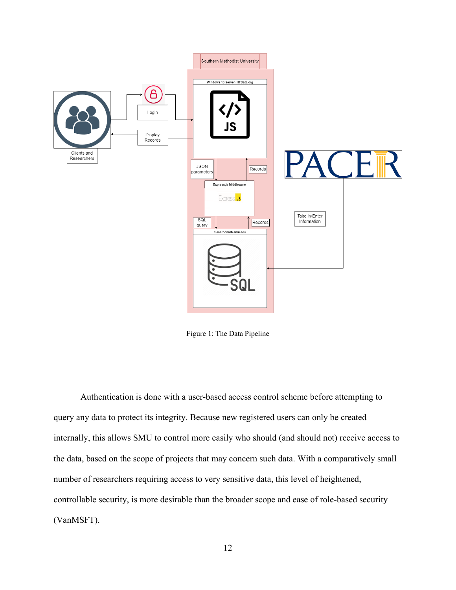

Figure 1: The Data Pipeline

Authentication is done with a user-based access control scheme before attempting to query any data to protect its integrity. Because new registered users can only be created internally, this allows SMU to control more easily who should (and should not) receive access to the data, based on the scope of projects that may concern such data. With a comparatively small number of researchers requiring access to very sensitive data, this level of heightened, controllable security, is more desirable than the broader scope and ease of role-based security (VanMSFT).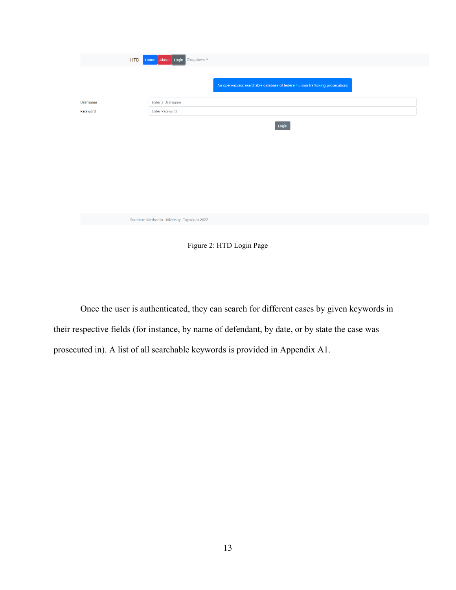|          | <b>HTD</b> | Home About Login Dropdown                      |                                                                              |
|----------|------------|------------------------------------------------|------------------------------------------------------------------------------|
|          |            |                                                | An open-access searchable database of federal human trafficking prosecutions |
| Username |            | Enter a Username                               |                                                                              |
| Password |            | <b>Enter Password</b>                          |                                                                              |
|          |            |                                                | Login                                                                        |
|          |            | Southern Methodist University: Copyright 2022. |                                                                              |

Figure 2: HTD Login Page

Once the user is authenticated, they can search for different cases by given keywords in their respective fields (for instance, by name of defendant, by date, or by state the case was prosecuted in). A list of all searchable keywords is provided in Appendix A1.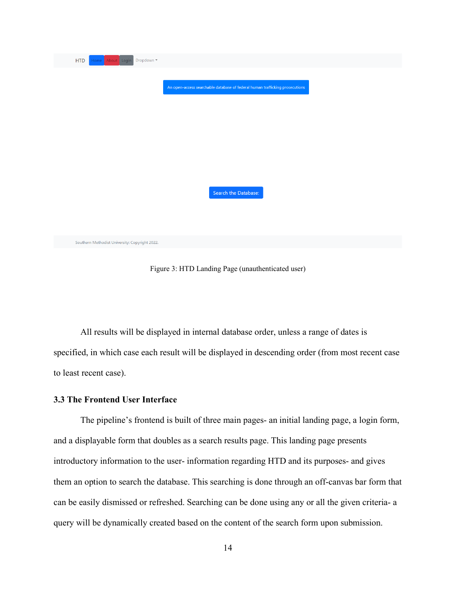| <b>HTD</b><br>Dropdown =<br>Home About Login   |                                                                              |
|------------------------------------------------|------------------------------------------------------------------------------|
|                                                | An open-access searchable database of federal human trafficking prosecutions |
|                                                |                                                                              |
|                                                |                                                                              |
|                                                | Search the Database:                                                         |
|                                                |                                                                              |
| Southern Methodist University: Copyright 2022. |                                                                              |

Figure 3: HTD Landing Page (unauthenticated user)

All results will be displayed in internal database order, unless a range of dates is specified, in which case each result will be displayed in descending order (from most recent case to least recent case).

#### <span id="page-24-0"></span>**3.3 The Frontend User Interface**

The pipeline's frontend is built of three main pages- an initial landing page, a login form, and a displayable form that doubles as a search results page. This landing page presents introductory information to the user- information regarding HTD and its purposes- and gives them an option to search the database. This searching is done through an off-canvas bar form that can be easily dismissed or refreshed. Searching can be done using any or all the given criteria- a query will be dynamically created based on the content of the search form upon submission.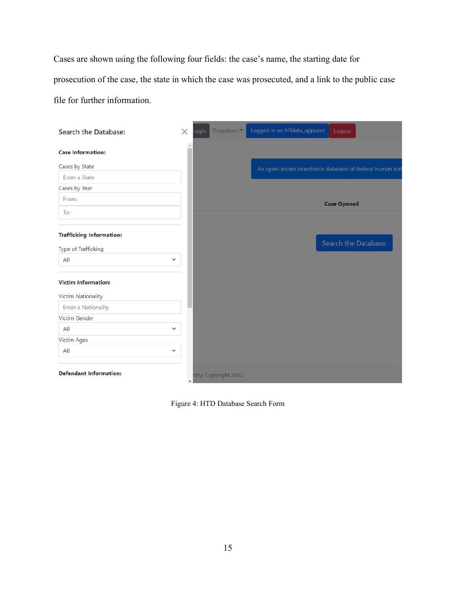Cases are shown using the following four fields: the case's name, the starting date for prosecution of the case, the state in which the case was prosecuted, and a link to the public case file for further information.

| Search the Database:            | $\times$ | ogin | Dropdown -             | Logged in as: HTdata_appuser | Logout                                                   |
|---------------------------------|----------|------|------------------------|------------------------------|----------------------------------------------------------|
| <b>Case Information:</b>        | $\Delta$ |      |                        |                              |                                                          |
| Cases by State                  |          |      |                        |                              | An open-access searchable database of federal human traf |
| Enter a State                   |          |      |                        |                              |                                                          |
| Cases by Year                   |          |      |                        |                              |                                                          |
| From:                           |          |      |                        |                              | <b>Case Opened</b>                                       |
| To:                             |          |      |                        |                              |                                                          |
|                                 |          |      |                        |                              |                                                          |
| <b>Trafficking Information:</b> |          |      |                        |                              |                                                          |
| Type of Trafficking             |          |      |                        |                              | Search the Database:                                     |
| All<br>$\checkmark$             |          |      |                        |                              |                                                          |
| <b>Victim Information:</b>      |          |      |                        |                              |                                                          |
| Victim Nationality              |          |      |                        |                              |                                                          |
| <b>Enter a Nationality</b>      |          |      |                        |                              |                                                          |
| Victim Gender                   |          |      |                        |                              |                                                          |
| All<br>$\checkmark$             |          |      |                        |                              |                                                          |
| <b>Victim Ages</b>              |          |      |                        |                              |                                                          |
| All<br>$\checkmark$             |          |      |                        |                              |                                                          |
| <b>Defendant Information:</b>   |          |      | rsity: Copyright 2022. |                              |                                                          |

Figure 4: HTD Database Search Form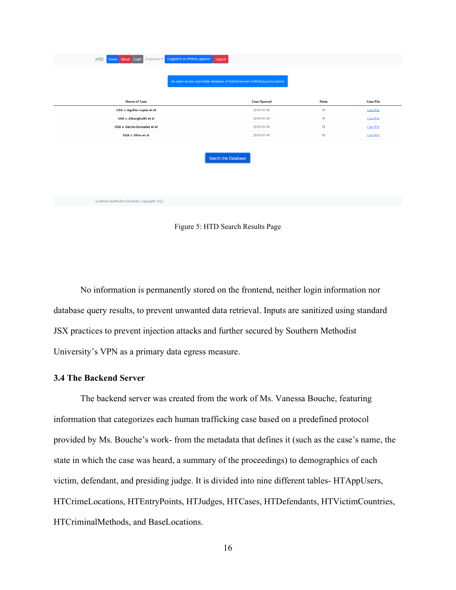| Logged in as: HTdata_appuser<br>Home About Login<br>HTD<br>Dropdown $\blacktriangleright$ | Logout                                                                       |              |                  |
|-------------------------------------------------------------------------------------------|------------------------------------------------------------------------------|--------------|------------------|
|                                                                                           | An open-access searchable database of federal human trafficking prosecutions |              |                  |
| <b>Name of Case</b>                                                                       | <b>Case Opened</b>                                                           | <b>State</b> | <b>Case File</b> |
| USA v. Aguilar-Lopez et al                                                                | 2010-01-01                                                                   | <b>TX</b>    | Case File        |
| USA v. Albarghuthi et al                                                                  | 2010-01-01                                                                   | <b>TX</b>    | Case File        |
| USA v. Garcia-Gonzalez et al                                                              | 2010-01-01                                                                   | <b>TX</b>    | Case File        |
| USA v. Olivo et al                                                                        | 2010-01-01                                                                   | <b>TX</b>    | <b>Case File</b> |
|                                                                                           | Search the Database:                                                         |              |                  |
| Southern Methodist University: Copyright 2022.                                            |                                                                              |              |                  |

Figure 5: HTD Search Results Page

No information is permanently stored on the frontend, neither login information nor database query results, to prevent unwanted data retrieval. Inputs are sanitized using standard JSX practices to prevent injection attacks and further secured by Southern Methodist University's VPN as a primary data egress measure.

#### <span id="page-26-0"></span>**3.4 The Backend Server**

The backend server was created from the work of Ms. Vanessa Bouche, featuring information that categorizes each human trafficking case based on a predefined protocol provided by Ms. Bouche's work- from the metadata that defines it (such as the case's name, the state in which the case was heard, a summary of the proceedings) to demographics of each victim, defendant, and presiding judge. It is divided into nine different tables- HTAppUsers, HTCrimeLocations, HTEntryPoints, HTJudges, HTCases, HTDefendants, HTVictimCountries, HTCriminalMethods, and BaseLocations.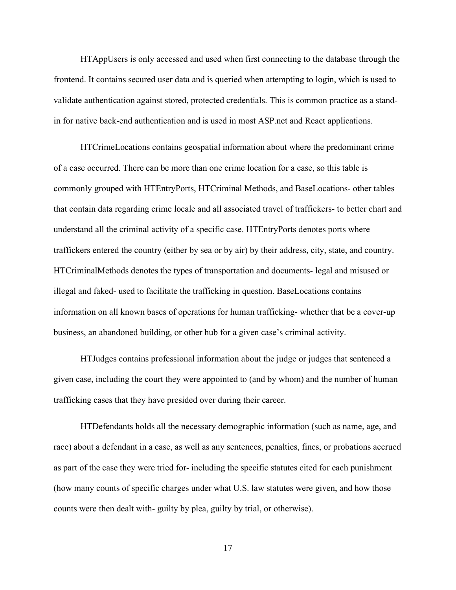HTAppUsers is only accessed and used when first connecting to the database through the frontend. It contains secured user data and is queried when attempting to login, which is used to validate authentication against stored, protected credentials. This is common practice as a standin for native back-end authentication and is used in most ASP.net and React applications.

HTCrimeLocations contains geospatial information about where the predominant crime of a case occurred. There can be more than one crime location for a case, so this table is commonly grouped with HTEntryPorts, HTCriminal Methods, and BaseLocations- other tables that contain data regarding crime locale and all associated travel of traffickers- to better chart and understand all the criminal activity of a specific case. HTEntryPorts denotes ports where traffickers entered the country (either by sea or by air) by their address, city, state, and country. HTCriminalMethods denotes the types of transportation and documents- legal and misused or illegal and faked- used to facilitate the trafficking in question. BaseLocations contains information on all known bases of operations for human trafficking- whether that be a cover-up business, an abandoned building, or other hub for a given case's criminal activity.

HTJudges contains professional information about the judge or judges that sentenced a given case, including the court they were appointed to (and by whom) and the number of human trafficking cases that they have presided over during their career.

HTDefendants holds all the necessary demographic information (such as name, age, and race) about a defendant in a case, as well as any sentences, penalties, fines, or probations accrued as part of the case they were tried for- including the specific statutes cited for each punishment (how many counts of specific charges under what U.S. law statutes were given, and how those counts were then dealt with- guilty by plea, guilty by trial, or otherwise).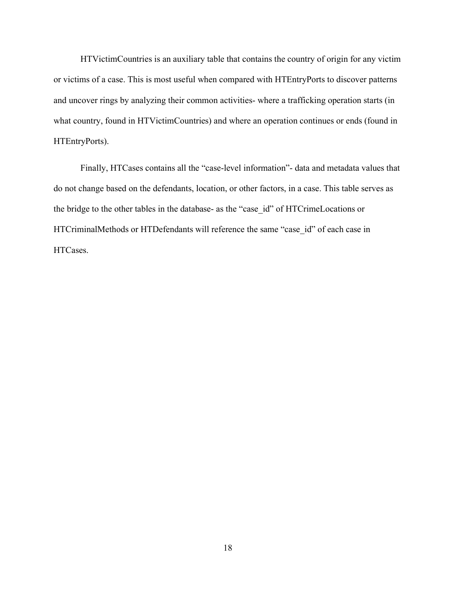HTVictimCountries is an auxiliary table that contains the country of origin for any victim or victims of a case. This is most useful when compared with HTEntryPorts to discover patterns and uncover rings by analyzing their common activities- where a trafficking operation starts (in what country, found in HTVictimCountries) and where an operation continues or ends (found in HTEntryPorts).

Finally, HTCases contains all the "case-level information"- data and metadata values that do not change based on the defendants, location, or other factors, in a case. This table serves as the bridge to the other tables in the database- as the "case\_id" of HTCrimeLocations or HTCriminalMethods or HTDefendants will reference the same "case id" of each case in HTCases.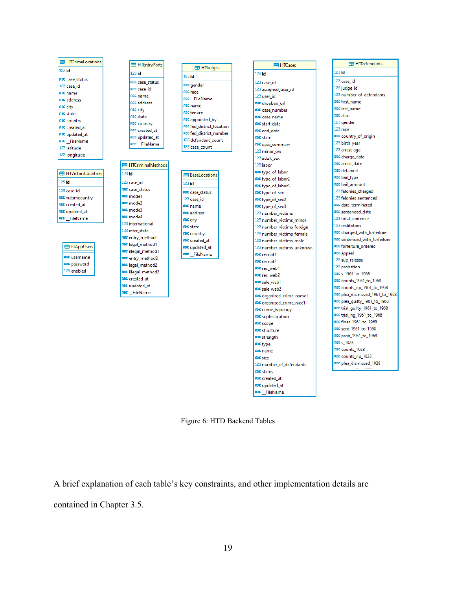

Figure 6: HTD Backend Tables

A brief explanation of each table's key constraints, and other implementation details are

contained in Chapter 3.5.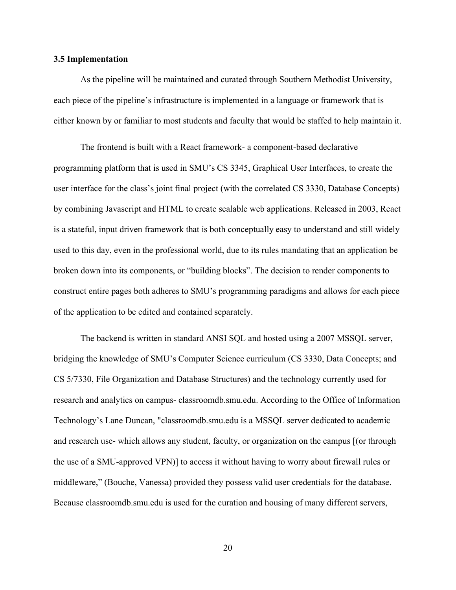#### <span id="page-30-0"></span>**3.5 Implementation**

As the pipeline will be maintained and curated through Southern Methodist University, each piece of the pipeline's infrastructure is implemented in a language or framework that is either known by or familiar to most students and faculty that would be staffed to help maintain it.

The frontend is built with a React framework- a component-based declarative programming platform that is used in SMU's CS 3345, Graphical User Interfaces, to create the user interface for the class's joint final project (with the correlated CS 3330, Database Concepts) by combining Javascript and HTML to create scalable web applications. Released in 2003, React is a stateful, input driven framework that is both conceptually easy to understand and still widely used to this day, even in the professional world, due to its rules mandating that an application be broken down into its components, or "building blocks". The decision to render components to construct entire pages both adheres to SMU's programming paradigms and allows for each piece of the application to be edited and contained separately.

The backend is written in standard ANSI SQL and hosted using a 2007 MSSQL server, bridging the knowledge of SMU's Computer Science curriculum (CS 3330, Data Concepts; and CS 5/7330, File Organization and Database Structures) and the technology currently used for research and analytics on campus- classroomdb.smu.edu. According to the Office of Information Technology's Lane Duncan, "classroomdb.smu.edu is a MSSQL server dedicated to academic and research use- which allows any student, faculty, or organization on the campus [(or through the use of a SMU-approved VPN)] to access it without having to worry about firewall rules or middleware," (Bouche, Vanessa) provided they possess valid user credentials for the database. Because classroomdb.smu.edu is used for the curation and housing of many different servers,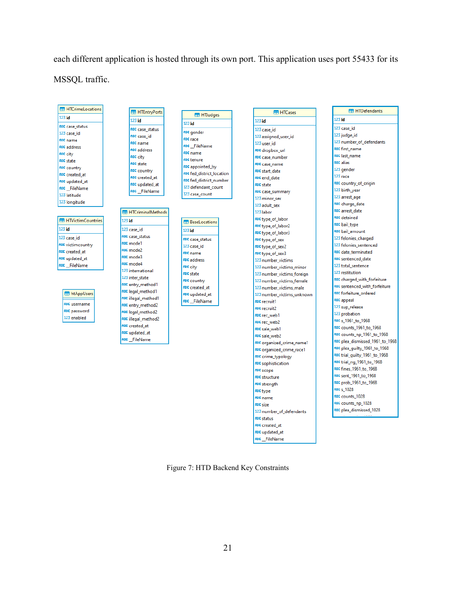each different application is hosted through its own port. This application uses port 55433 for its MSSQL traffic.

| <b>HTCrimeLocations</b>     | <b>ED</b> HTEntryPorts   |                           | <b>HT HTCases</b>                 | <b>HTDefendants</b>             |
|-----------------------------|--------------------------|---------------------------|-----------------------------------|---------------------------------|
| $123$ id                    | $123$ id                 | <b>ED</b> HTJudges        | $123$ id                          | $123$ id                        |
| ABC case_status             | ABC case_status          | $123$ id                  | 123 case id                       | 123 case id                     |
| 123 case id                 | ABC case_id              | ABC gender                | 123 assigned_user_id              | 123 judge_id                    |
| ABC name                    | ABC name                 | ABC race                  | 123 user id                       | 123 number of defendants        |
| ABC address                 | <b>ABC</b> address       | ABC FileName              | ABC dropbox url                   | ABC first_name                  |
| ABC city                    | <b>ABC city</b>          | ABC name                  | ABC case number                   | ABC last name                   |
| ABC state                   | ABC state                | <b>ABC</b> tenure         | ABC case name                     | <b>ABC alias</b>                |
| ABC country                 | ABC country              | ABC appointed_by          | ABC start_date                    | 123 gender                      |
| ABC created_at              | ABC created at           | ABC fed_district_location | ABC end date                      | 123 race                        |
| ABC updated at              | ABC updated_at           | ABC fed_district_number   | <b>ABC</b> state                  | ABC country_of_origin           |
| ABC FileName                | ABC FileName             | 123 defendant count       |                                   | 123 birth_year                  |
| 123 latitude                |                          | 123 case_count            | ABC case_summary<br>123 minor sex | 123 arrest age                  |
| 123 longitude               |                          |                           | 123 adult sex                     | ABC charge_date                 |
|                             | <b>HTCriminalMethods</b> |                           | 123 labor                         | ABC arrest date                 |
|                             |                          |                           |                                   | ABC detained                    |
| <b>ER HTVictimCountries</b> | $123$ id                 | <b>RaseLocations</b>      | ABC type_of_labor                 | ABC bail_type                   |
| $123$ id                    | 123 case id              | $123$ id                  | ABC type_of_labor2                | ABC bail amount                 |
| 123 case id                 | ABC case status          | ABC case status           | ABC type_of_labor3                | 123 felonies_charged            |
| <b>ABC</b> victimcountry    | ABC mode1                | 123 case id               | ABC type_of_sex                   | 123 felonies_sentenced          |
| ABC created at              | ABC mode2                | ABC name                  | ABC type_of_sex2                  | ABC date_terminated             |
| ABC updated at              | ABC mode3                | <b>ABC</b> address        | ABC type_of_sex3                  | ABC sentenced date              |
| ABC FileName                | ABC mode4                |                           | 123 number_victims                | 123 total sentence              |
|                             | 123 international        | ABC city<br>ABC state     | 123 number_victims_minor          | 123 restitution                 |
|                             | 123 inter_state          |                           | 123 number_victims_foreign        | ABC charged_with_forfeiture     |
|                             | ABC entry_method1        | ABC country               | 123 number_victims_female         | ABC sentenced with forfeiture   |
| <b>EB</b> htAppUsers        | ABC legal_method1        | ABC created at            | 123 number_victims_male           | ABC forfeiture_ordered          |
|                             | ABC illegal_method1      | ABC updated at            | 123 number_victims_unknown        | ABC appeal                      |
| ABC username                | ABC entry_method2        | ABC FileName              | ABC recruit1                      | 123 sup_release                 |
| ABC password                | ABC legal_method2        |                           | <b>ABC</b> recruit2               | 123 probation                   |
| 123 enabled                 | ABC illegal_method2      |                           | ABC rec web1                      | ABC s_1961_to_1968              |
|                             | ABC created at           |                           | ABC rec web2                      | ABC counts_1961_to_1968         |
|                             | ABC updated_at           |                           | ABC sale_web1                     |                                 |
|                             | ABC_FileName             |                           | ABC sale_web2                     | ABC counts_np_1961_to_1968      |
|                             |                          |                           | ABC organized_crime_name1         | ABC plea_dismissed_1961_to_1968 |
|                             |                          |                           | ABC organized_crime_race1         | ABC plea_guilty_1961_to_1968    |
|                             |                          |                           | ABC crime_typology                | ABC trial_quilty_1961_to_1968   |
|                             |                          |                           | <b>ABC</b> sophistication         | ABC trial_ng_1961_to_1968       |
|                             |                          |                           | ABC scope                         | ABC fines_1961_to_1968          |
|                             |                          |                           | <b>ABC</b> structure              | ABC sent 1961 to 1968           |
|                             |                          |                           | <b>ABC</b> strength               | ABC prob_1961_to_1968           |
|                             |                          |                           | ABC type                          | ABC s 1028                      |

Rec counts\_1028

ABC counts\_np\_1028 a<mark>ec</mark> plea\_dismissed\_1028

Figure 7: HTD Backend Key Constraints

ABC name

ABC status ABC created\_at ABC updated\_at ABC\_FileName

123 number\_of\_defendants

ABC size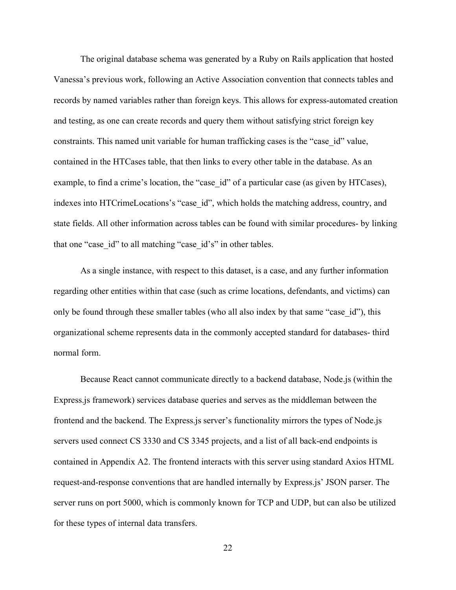The original database schema was generated by a Ruby on Rails application that hosted Vanessa's previous work, following an Active Association convention that connects tables and records by named variables rather than foreign keys. This allows for express-automated creation and testing, as one can create records and query them without satisfying strict foreign key constraints. This named unit variable for human trafficking cases is the "case\_id" value, contained in the HTCases table, that then links to every other table in the database. As an example, to find a crime's location, the "case id" of a particular case (as given by HTCases), indexes into HTCrimeLocations's "case\_id", which holds the matching address, country, and state fields. All other information across tables can be found with similar procedures- by linking that one "case id" to all matching "case id's" in other tables.

As a single instance, with respect to this dataset, is a case, and any further information regarding other entities within that case (such as crime locations, defendants, and victims) can only be found through these smaller tables (who all also index by that same "case id"), this organizational scheme represents data in the commonly accepted standard for databases- third normal form.

Because React cannot communicate directly to a backend database, Node.js (within the Express.js framework) services database queries and serves as the middleman between the frontend and the backend. The Express.js server's functionality mirrors the types of Node.js servers used connect CS 3330 and CS 3345 projects, and a list of all back-end endpoints is contained in Appendix A2. The frontend interacts with this server using standard Axios HTML request-and-response conventions that are handled internally by Express.js' JSON parser. The server runs on port 5000, which is commonly known for TCP and UDP, but can also be utilized for these types of internal data transfers.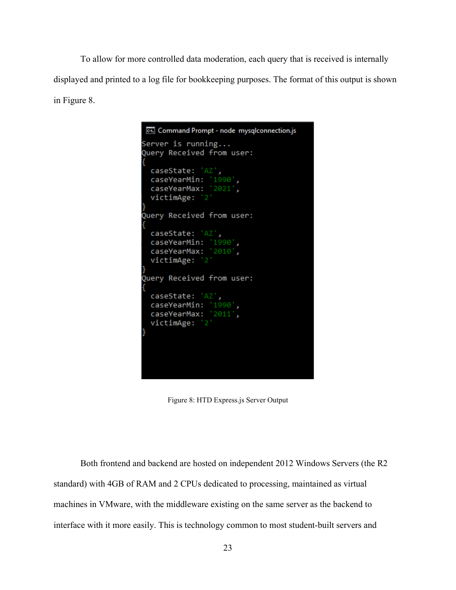To allow for more controlled data moderation, each query that is received is internally displayed and printed to a log file for bookkeeping purposes. The format of this output is shown in Figure 8.

```
Command Prompt - node mysqlconnection.js
Server is running...
Query Received from user:
  caseState: 'AZ',
 caseYearMin: '1990',<br>caseYearMax: '2021',
  victimAge: '2'
Query Received from user:
  caseState: 'AZ',
 caseYearMin: '1990',<br>caseYearMax: '2010',
  victimAge: '2'
Query Received from user:
 caseState: 'AZ',
 caseYearMin: '1990',<br>caseYearMax: '2011',
  victimAge: '2'
```
Figure 8: HTD Express.js Server Output

Both frontend and backend are hosted on independent 2012 Windows Servers (the R2 standard) with 4GB of RAM and 2 CPUs dedicated to processing, maintained as virtual machines in VMware, with the middleware existing on the same server as the backend to interface with it more easily. This is technology common to most student-built servers and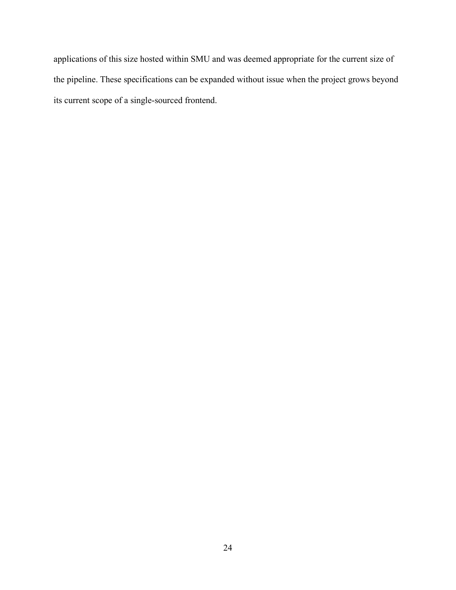applications of this size hosted within SMU and was deemed appropriate for the current size of the pipeline. These specifications can be expanded without issue when the project grows beyond its current scope of a single-sourced frontend.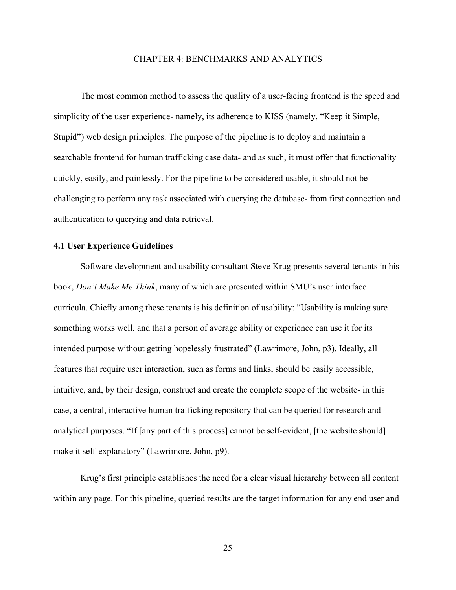#### CHAPTER 4: BENCHMARKS AND ANALYTICS

<span id="page-35-0"></span>The most common method to assess the quality of a user-facing frontend is the speed and simplicity of the user experience- namely, its adherence to KISS (namely, "Keep it Simple, Stupid") web design principles. The purpose of the pipeline is to deploy and maintain a searchable frontend for human trafficking case data- and as such, it must offer that functionality quickly, easily, and painlessly. For the pipeline to be considered usable, it should not be challenging to perform any task associated with querying the database- from first connection and authentication to querying and data retrieval.

#### <span id="page-35-1"></span>**4.1 User Experience Guidelines**

Software development and usability consultant Steve Krug presents several tenants in his book, *Don't Make Me Think*, many of which are presented within SMU's user interface curricula. Chiefly among these tenants is his definition of usability: "Usability is making sure something works well, and that a person of average ability or experience can use it for its intended purpose without getting hopelessly frustrated" (Lawrimore, John, p3). Ideally, all features that require user interaction, such as forms and links, should be easily accessible, intuitive, and, by their design, construct and create the complete scope of the website- in this case, a central, interactive human trafficking repository that can be queried for research and analytical purposes. "If [any part of this process] cannot be self-evident, [the website should] make it self-explanatory" (Lawrimore, John, p9).

Krug's first principle establishes the need for a clear visual hierarchy between all content within any page. For this pipeline, queried results are the target information for any end user and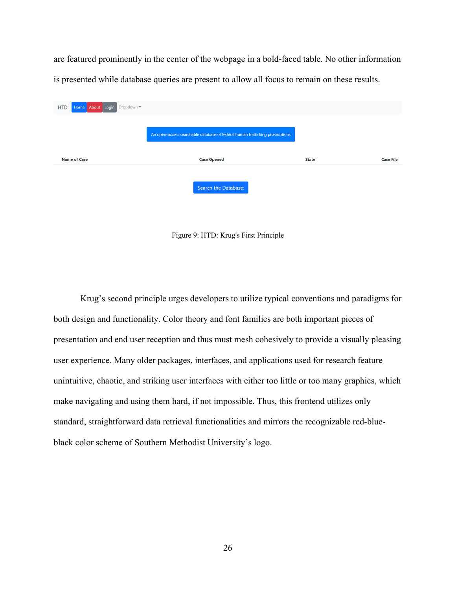are featured prominently in the center of the webpage in a bold-faced table. No other information is presented while database queries are present to allow all focus to remain on these results.

| Home About Login Dropdown<br><b>HTD</b> |                                                                              |              |                  |
|-----------------------------------------|------------------------------------------------------------------------------|--------------|------------------|
|                                         | An open-access searchable database of federal human trafficking prosecutions |              |                  |
|                                         |                                                                              |              |                  |
| <b>Name of Case</b>                     | <b>Case Opened</b>                                                           | <b>State</b> | <b>Case File</b> |

Figure 9: HTD: Krug's First Principle

Krug's second principle urges developers to utilize typical conventions and paradigms for both design and functionality. Color theory and font families are both important pieces of presentation and end user reception and thus must mesh cohesively to provide a visually pleasing user experience. Many older packages, interfaces, and applications used for research feature unintuitive, chaotic, and striking user interfaces with either too little or too many graphics, which make navigating and using them hard, if not impossible. Thus, this frontend utilizes only standard, straightforward data retrieval functionalities and mirrors the recognizable red-blueblack color scheme of Southern Methodist University's logo.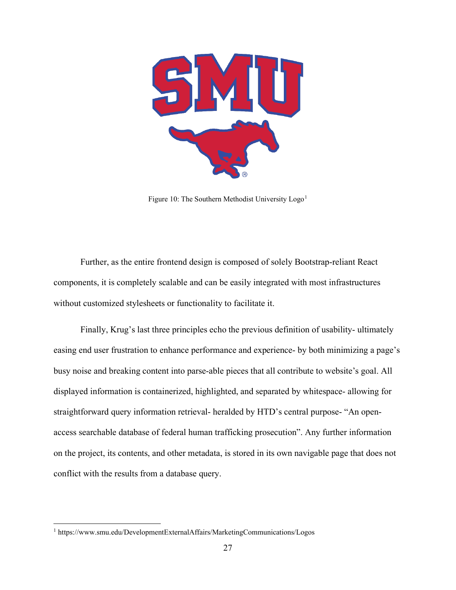

Figure [1](#page-37-0)0: The Southern Methodist University  $\text{Log}^{1}$ 

Further, as the entire frontend design is composed of solely Bootstrap-reliant React components, it is completely scalable and can be easily integrated with most infrastructures without customized stylesheets or functionality to facilitate it.

Finally, Krug's last three principles echo the previous definition of usability- ultimately easing end user frustration to enhance performance and experience- by both minimizing a page's busy noise and breaking content into parse-able pieces that all contribute to website's goal. All displayed information is containerized, highlighted, and separated by whitespace- allowing for straightforward query information retrieval- heralded by HTD's central purpose- "An openaccess searchable database of federal human trafficking prosecution". Any further information on the project, its contents, and other metadata, is stored in its own navigable page that does not conflict with the results from a database query.

<span id="page-37-0"></span><sup>1</sup> https://www.smu.edu/DevelopmentExternalAffairs/MarketingCommunications/Logos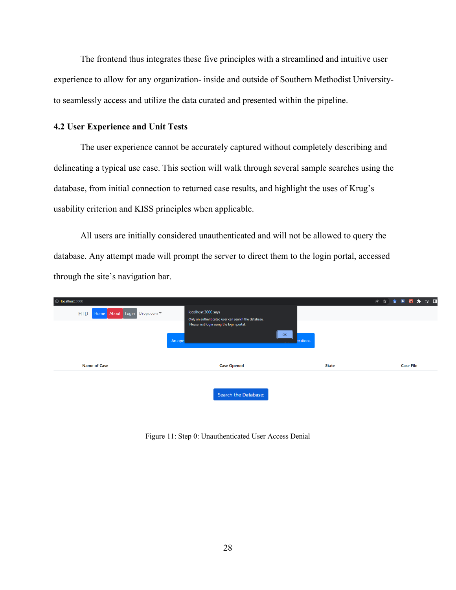The frontend thus integrates these five principles with a streamlined and intuitive user experience to allow for any organization- inside and outside of Southern Methodist Universityto seamlessly access and utilize the data curated and presented within the pipeline.

#### <span id="page-38-0"></span>**4.2 User Experience and Unit Tests**

The user experience cannot be accurately captured without completely describing and delineating a typical use case. This section will walk through several sample searches using the database, from initial connection to returned case results, and highlight the uses of Krug's usability criterion and KISS principles when applicable.

All users are initially considered unauthenticated and will not be allowed to query the database. Any attempt made will prompt the server to direct them to the login portal, accessed through the site's navigation bar.

| 1 localhost:3000                        |                                                                                                                                    |                |              | 2 ☆ ◆ ■ 图 ★ ヨ ロ  |
|-----------------------------------------|------------------------------------------------------------------------------------------------------------------------------------|----------------|--------------|------------------|
| Home About Login Dropdown<br><b>HTD</b> | localhost:3000 says<br>Only an authenticated user can search the database.<br>Please first login using the login portal.<br>An ope | OK<br>ecutions |              |                  |
| <b>Name of Case</b>                     | <b>Case Opened</b>                                                                                                                 |                | <b>State</b> | <b>Case File</b> |
|                                         | Search the Database:                                                                                                               |                |              |                  |

Figure 11: Step 0: Unauthenticated User Access Denial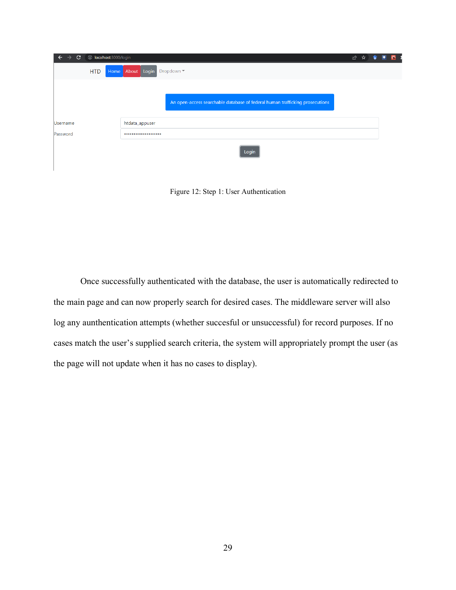| $\mathbf{C}$<br>$\leftarrow$<br>→ | 1 localhost:3000/login |                |                           |                                                                              | ピ | 立 |  |
|-----------------------------------|------------------------|----------------|---------------------------|------------------------------------------------------------------------------|---|---|--|
|                                   | <b>HTD</b>             |                | Home About Login Dropdown |                                                                              |   |   |  |
|                                   |                        |                |                           |                                                                              |   |   |  |
|                                   |                        |                |                           | An open-access searchable database of federal human trafficking prosecutions |   |   |  |
|                                   |                        |                |                           |                                                                              |   |   |  |
| <b>Username</b>                   |                        | htdata_appuser |                           |                                                                              |   |   |  |
| Password                          |                        |                |                           |                                                                              |   |   |  |
|                                   |                        |                |                           | Login                                                                        |   |   |  |

Figure 12: Step 1: User Authentication

Once successfully authenticated with the database, the user is automatically redirected to the main page and can now properly search for desired cases. The middleware server will also log any aunthentication attempts (whether succesful or unsuccessful) for record purposes. If no cases match the user's supplied search criteria, the system will appropriately prompt the user (as the page will not update when it has no cases to display).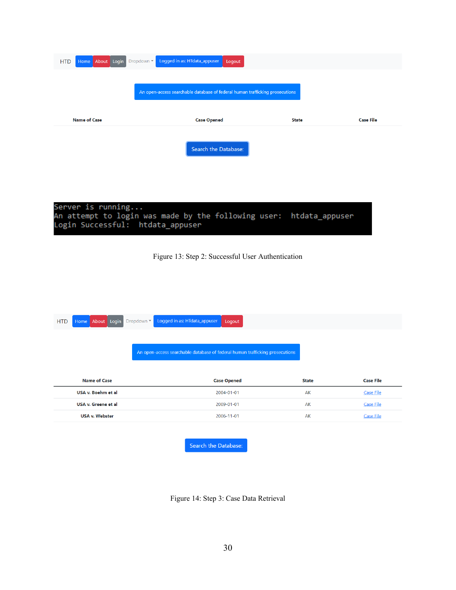| Home About Login Dropdown Logged in as: HTdata_appuser<br><b>HTD</b> | Logout                                                                       |              |                  |
|----------------------------------------------------------------------|------------------------------------------------------------------------------|--------------|------------------|
|                                                                      | An open-access searchable database of federal human trafficking prosecutions |              |                  |
| <b>Name of Case</b>                                                  | <b>Case Opened</b>                                                           | <b>State</b> | <b>Case File</b> |
|                                                                      | Search the Database:                                                         |              |                  |
|                                                                      |                                                                              |              |                  |

Server is running...<br>An attempt to login was made by the following user:<br>Login Successful: htdata\_appuser htdata\_appuser

Figure 13: Step 2: Successful User Authentication

| <b>HTD</b> | Home About Login      | Logged in as: HTdata_appuser<br>Dropdown $\bullet$<br>Logout                 |              |                  |
|------------|-----------------------|------------------------------------------------------------------------------|--------------|------------------|
|            |                       |                                                                              |              |                  |
|            |                       |                                                                              |              |                  |
|            |                       | An open-access searchable database of federal human trafficking prosecutions |              |                  |
|            |                       |                                                                              |              |                  |
|            |                       |                                                                              |              |                  |
|            |                       |                                                                              |              |                  |
|            | <b>Name of Case</b>   | <b>Case Opened</b>                                                           | <b>State</b> | <b>Case File</b> |
|            | USA v. Boehm et al    | 2004-01-01                                                                   | AK           | <b>Case File</b> |
|            | USA v. Greene et al   | 2009-01-01                                                                   | AK           | <b>Case File</b> |
|            | <b>USA v. Webster</b> | 2006-11-01                                                                   | AK           | <b>Case File</b> |
|            |                       |                                                                              |              |                  |

Search the Database:

Figure 14: Step 3: Case Data Retrieval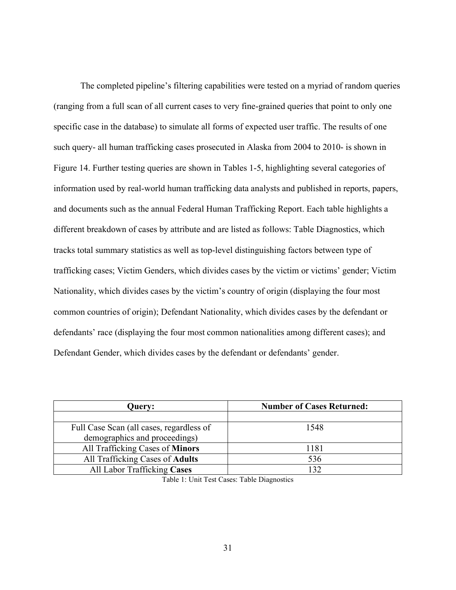The completed pipeline's filtering capabilities were tested on a myriad of random queries (ranging from a full scan of all current cases to very fine-grained queries that point to only one specific case in the database) to simulate all forms of expected user traffic. The results of one such query- all human trafficking cases prosecuted in Alaska from 2004 to 2010- is shown in Figure 14. Further testing queries are shown in Tables 1-5, highlighting several categories of information used by real-world human trafficking data analysts and published in reports, papers, and documents such as the annual Federal Human Trafficking Report. Each table highlights a different breakdown of cases by attribute and are listed as follows: Table Diagnostics, which tracks total summary statistics as well as top-level distinguishing factors between type of trafficking cases; Victim Genders, which divides cases by the victim or victims' gender; Victim Nationality, which divides cases by the victim's country of origin (displaying the four most common countries of origin); Defendant Nationality, which divides cases by the defendant or defendants' race (displaying the four most common nationalities among different cases); and Defendant Gender, which divides cases by the defendant or defendants' gender.

<span id="page-41-0"></span>

| <b>Query:</b>                            | <b>Number of Cases Returned:</b> |
|------------------------------------------|----------------------------------|
|                                          |                                  |
| Full Case Scan (all cases, regardless of | 1548                             |
| demographics and proceedings)            |                                  |
| All Trafficking Cases of Minors          | 1181                             |
| All Trafficking Cases of Adults          | 536                              |
| All Labor Trafficking Cases              | 132                              |

Table 1: Unit Test Cases: Table Diagnostics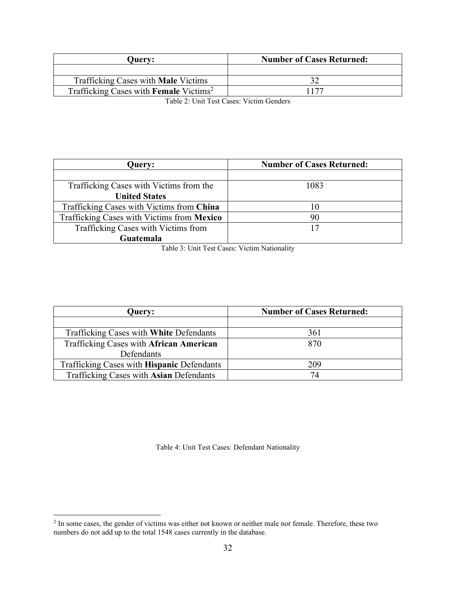<span id="page-42-0"></span>

| <b>Ouerv:</b>                                             | <b>Number of Cases Returned:</b> |
|-----------------------------------------------------------|----------------------------------|
|                                                           |                                  |
| Trafficking Cases with <b>Male</b> Victims                |                                  |
| Trafficking Cases with <b>Female</b> Victims <sup>2</sup> | 177                              |

Table 2: Unit Test Cases: Victim Genders

| Query:                                     | <b>Number of Cases Returned:</b> |
|--------------------------------------------|----------------------------------|
|                                            |                                  |
| Trafficking Cases with Victims from the    | 1083                             |
| <b>United States</b>                       |                                  |
| Trafficking Cases with Victims from China  | 10                               |
| Trafficking Cases with Victims from Mexico | 90                               |
| Trafficking Cases with Victims from        | 17                               |
| Guatemala                                  |                                  |

Table 3: Unit Test Cases: Victim Nationality

<span id="page-42-1"></span>

| <b>Query:</b>                              | <b>Number of Cases Returned:</b> |  |
|--------------------------------------------|----------------------------------|--|
|                                            |                                  |  |
| Trafficking Cases with White Defendants    | 361                              |  |
| Trafficking Cases with African American    | 870                              |  |
| Defendants                                 |                                  |  |
| Trafficking Cases with Hispanic Defendants | 209                              |  |
| Trafficking Cases with Asian Defendants    |                                  |  |

Table 4: Unit Test Cases: Defendant Nationality

<span id="page-42-3"></span><span id="page-42-2"></span> $2$  In some cases, the gender of victims was either not known or neither male nor female. Therefore, these two numbers do not add up to the total 1548 cases currently in the database.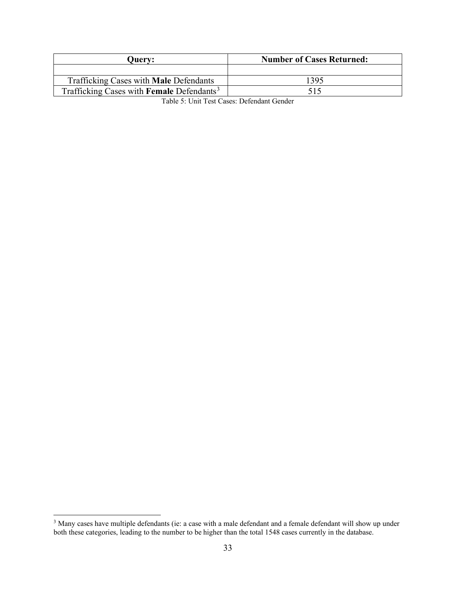<span id="page-43-0"></span>

| <b>Ouerv:</b>                                         | <b>Number of Cases Returned:</b> |
|-------------------------------------------------------|----------------------------------|
|                                                       |                                  |
| Trafficking Cases with Male Defendants                | 395                              |
| Trafficking Cases with Female Defendants <sup>3</sup> | 515                              |

Table 5: Unit Test Cases: Defendant Gender

<span id="page-43-1"></span> $3$  Many cases have multiple defendants (ie: a case with a male defendant and a female defendant will show up under both these categories, leading to the number to be higher than the total 1548 cases currently in the database.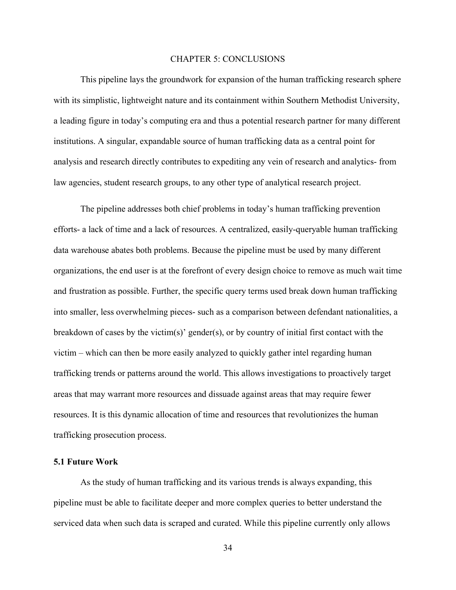#### CHAPTER 5: CONCLUSIONS

<span id="page-44-0"></span>This pipeline lays the groundwork for expansion of the human trafficking research sphere with its simplistic, lightweight nature and its containment within Southern Methodist University, a leading figure in today's computing era and thus a potential research partner for many different institutions. A singular, expandable source of human trafficking data as a central point for analysis and research directly contributes to expediting any vein of research and analytics- from law agencies, student research groups, to any other type of analytical research project.

The pipeline addresses both chief problems in today's human trafficking prevention efforts- a lack of time and a lack of resources. A centralized, easily-queryable human trafficking data warehouse abates both problems. Because the pipeline must be used by many different organizations, the end user is at the forefront of every design choice to remove as much wait time and frustration as possible. Further, the specific query terms used break down human trafficking into smaller, less overwhelming pieces- such as a comparison between defendant nationalities, a breakdown of cases by the victim(s)' gender(s), or by country of initial first contact with the victim – which can then be more easily analyzed to quickly gather intel regarding human trafficking trends or patterns around the world. This allows investigations to proactively target areas that may warrant more resources and dissuade against areas that may require fewer resources. It is this dynamic allocation of time and resources that revolutionizes the human trafficking prosecution process.

#### <span id="page-44-1"></span>**5.1 Future Work**

As the study of human trafficking and its various trends is always expanding, this pipeline must be able to facilitate deeper and more complex queries to better understand the serviced data when such data is scraped and curated. While this pipeline currently only allows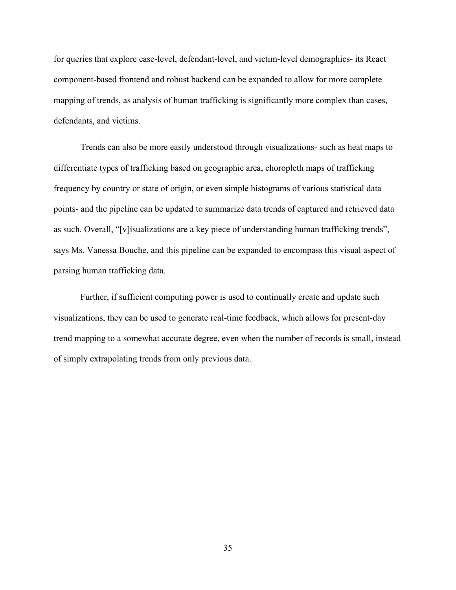for queries that explore case-level, defendant-level, and victim-level demographics- its React component-based frontend and robust backend can be expanded to allow for more complete mapping of trends, as analysis of human trafficking is significantly more complex than cases, defendants, and victims.

Trends can also be more easily understood through visualizations- such as heat maps to differentiate types of trafficking based on geographic area, choropleth maps of trafficking frequency by country or state of origin, or even simple histograms of various statistical data points- and the pipeline can be updated to summarize data trends of captured and retrieved data as such. Overall, "[v]isualizations are a key piece of understanding human trafficking trends", says Ms. Vanessa Bouche, and this pipeline can be expanded to encompass this visual aspect of parsing human trafficking data.

Further, if sufficient computing power is used to continually create and update such visualizations, they can be used to generate real-time feedback, which allows for present-day trend mapping to a somewhat accurate degree, even when the number of records is small, instead of simply extrapolating trends from only previous data.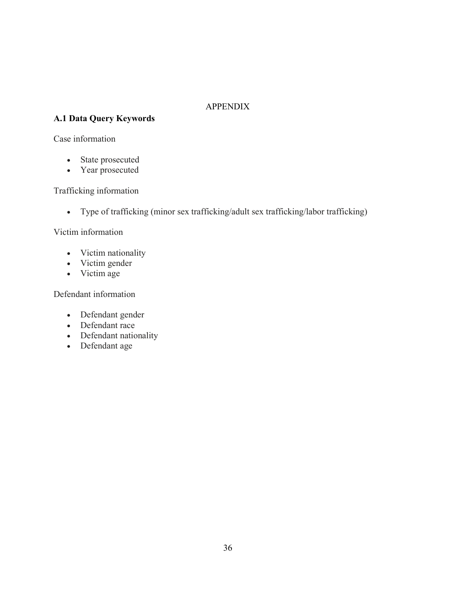## APPENDIX

## <span id="page-46-1"></span><span id="page-46-0"></span>**A.1 Data Query Keywords**

### Case information

- State prosecuted
- Year prosecuted

## Trafficking information

• Type of trafficking (minor sex trafficking/adult sex trafficking/labor trafficking)

## Victim information

- Victim nationality
- Victim gender
- Victim age

### Defendant information

- Defendant gender
- Defendant race
- Defendant nationality
- Defendant age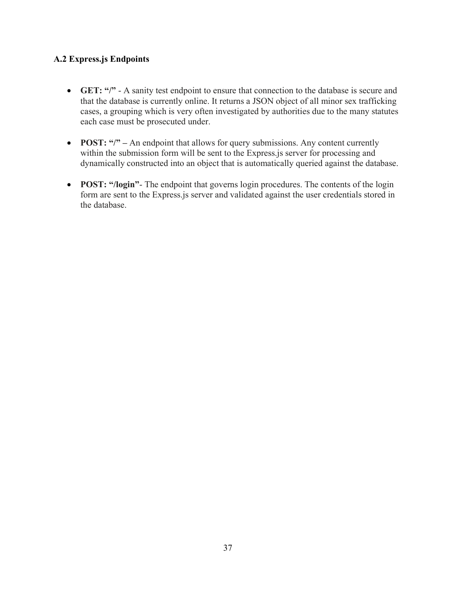## <span id="page-47-0"></span>**A.2 Express.js Endpoints**

- **GET:** "/" A sanity test endpoint to ensure that connection to the database is secure and that the database is currently online. It returns a JSON object of all minor sex trafficking cases, a grouping which is very often investigated by authorities due to the many statutes each case must be prosecuted under.
- **POST:** "/" An endpoint that allows for query submissions. Any content currently within the submission form will be sent to the Express.js server for processing and dynamically constructed into an object that is automatically queried against the database.
- **POST: "/login"** The endpoint that governs login procedures. The contents of the login form are sent to the Express.js server and validated against the user credentials stored in the database.